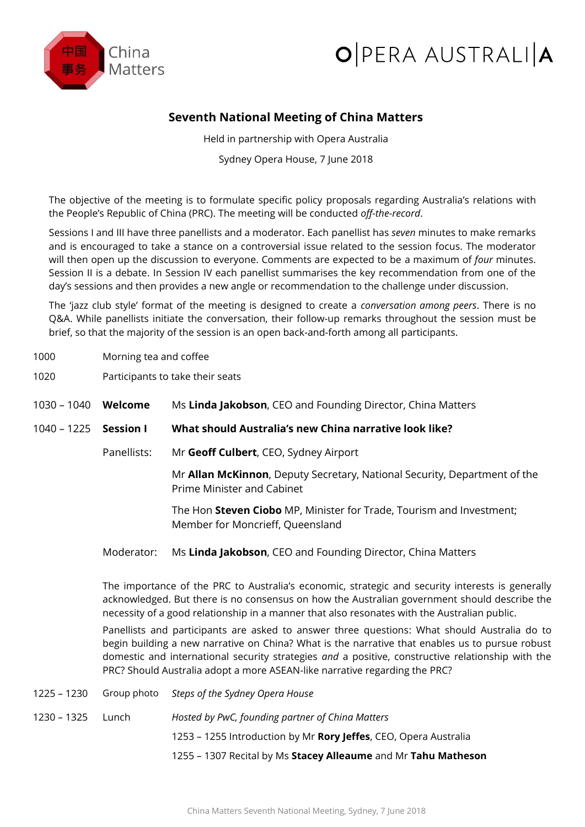



## **Seventh National Meeting of China Matters**

Held in partnership with Opera Australia Sydney Opera House, 7 June 2018

The objective of the meeting is to formulate specific policy proposals regarding Australia's relations with the People's Republic of China (PRC). The meeting will be conducted *off-the-record*.

Sessions I and III have three panellists and a moderator. Each panellist has *seven* minutes to make remarks and is encouraged to take a stance on a controversial issue related to the session focus. The moderator will then open up the discussion to everyone. Comments are expected to be a maximum of *four* minutes. Session II is a debate. In Session IV each panellist summarises the key recommendation from one of the day's sessions and then provides a new angle or recommendation to the challenge under discussion.

The 'jazz club style' format of the meeting is designed to create a *conversation among peers*. There is no Q&A. While panellists initiate the conversation, their follow-up remarks throughout the session must be brief, so that the majority of the session is an open back-and-forth among all participants.

- 1000 Morning tea and coffee
- 1020 Participants to take their seats
- 1030 1040 **Welcome** Ms **Linda Jakobson**, CEO and Founding Director, China Matters
- 1040 1225 **Session I What should Australia's new China narrative look like?** 
	- Panellists: Mr **Geoff Culbert**, CEO, Sydney Airport

Mr **Allan McKinnon**, Deputy Secretary, National Security, Department of the Prime Minister and Cabinet

The Hon **Steven Ciobo** MP, Minister for Trade, Tourism and Investment; Member for Moncrieff, Queensland

Moderator: Ms **Linda Jakobson**, CEO and Founding Director, China Matters

The importance of the PRC to Australia's economic, strategic and security interests is generally acknowledged. But there is no consensus on how the Australian government should describe the necessity of a good relationship in a manner that also resonates with the Australian public.

Panellists and participants are asked to answer three questions: What should Australia do to begin building a new narrative on China? What is the narrative that enables us to pursue robust domestic and international security strategies *and* a positive, constructive relationship with the PRC? Should Australia adopt a more ASEAN-like narrative regarding the PRC?

– 1230 Group photo *Steps of the Sydney Opera House* – 1325 Lunch *Hosted by PwC, founding partner of China Matters* – 1255 Introduction by Mr **Rory Jeffes**, CEO, Opera Australia – 1307 Recital by Ms **Stacey Alleaume** and Mr **Tahu Matheson**